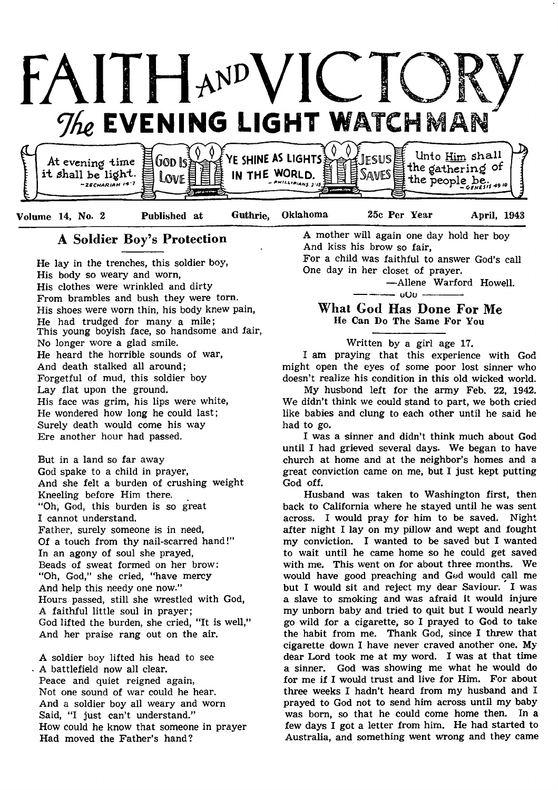



Volume 14, No. 2 Published at Guthrie, Oklahoma 25c Per Year April, 1943

## A Soldier Boy's Protection

He lay in the trenches, this soldier boy, His body so weary and worn, His clothes were wrinkled and dirty From brambles and bush they were torn. His shoes were worn thin, his body knew pain, He had trudged for many a mile; This young boyish face, so handsome and fair, No longer wore a glad smile. He heard the horrible sounds of war, And death stalked all around; Forgetful of mud, this soldier boy Lay flat upon the ground. His face was grim, his lips were white, He wondered how long he could last; Surely death would come his way Ere another hour had passed.

But in a land so far away God spake to a child in prayer, And she felt a burden of crushing weight Kneeling before Him there. "Oh, God, this burden is so great I cannot understand. Father, surely someone is in need, Of a touch from thy nail-scarred hand!" In an agony of soul she prayed, Beads of sweat formed on her brow: " Oh, God," she cried, "have mercy And help this needy one now." Hours passed, still she wrestled with God, A faithful little soul in prayer; God lifted the burden, she cried, "It is well," And her praise rang out on the air.

A soldier boy lifted his head to see A battlefield now all clear. Peace and quiet reigned again, Not one sound of war could he hear. And a soldier boy all weary and worn Said, "I just can't understand." How could he know that someone in prayer Had moved the Father's hand?

A mother will again one day hold her boy And kiss his brow so fair,

For a child was faithful to answer God's call One day in her closet of prayer.

— Allene Warford Howell.

 $-000$  -

## What God Has Done For Me He Can Do The Same For You

## Written by a girl age 17.

I am praying that this experience with God might open the eyes of some poor lost sinner who doesn't realize his condition in this old wicked world.

My husbond left for the army Feb. 22, 1942. We didn't think we could stand to part, we both cried like babies and clung to each other until he said he had to go.

I was a sinner and didn't think much about God until I had grieved several days. We began to have church at home and at the neighbor's homes and a great conviction came on me, but I just kept putting God off.

Husband was taken to Washington first, then back to California where he stayed until he was sent across. I would pray for him to be saved. Night after night I lay on my pillow and wept and fought my conviction. I wanted to be saved but I wanted to wait until he came home so he could get saved with me. This went on for about three months. We would have good preaching and God would call me but I would sit and reject my dear Saviour. I was a slave to smoking and was afraid It would injure my unborn baby and tried to quit but I would nearly go wild for a cigarette, so I prayed to God to take the habit from me. Thank God, since I threw that cigarette down I have never craved another one. My dear Lord took me at my word. I was at that time a sinner. God was showing me what he would do for me if I would trust and live for Him. For about three weeks I hadn't heard from my husband and I prayed to God not to send him across until my baby was born, so that he could come home then. In a few days I got a letter from him. He had started to Australia, and something went wrong and they came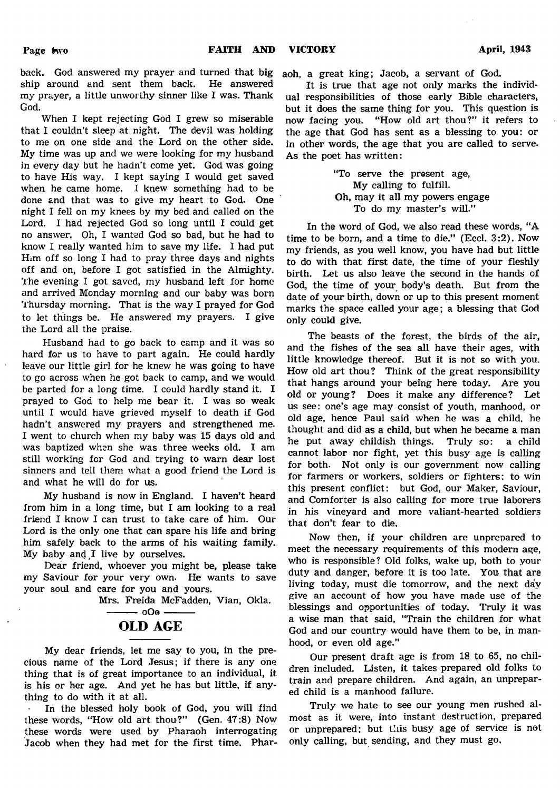back. God answered my prayer and turned that big ship around and sent them back. He answered my prayer, a little unworthy sinner like I was. Thank God.

When I kept rejecting God I grew so miserable that I couldn't sleep at night. The devil was holding to me on one side and the Lord on the other side. My time was up and we were looking for my husband in every day but he hadn't come yet. God was going to have His way. I kept saying I would get saved when he came home. I knew something had to be done and that was to give my heart to God. One night I fell on my knees by my bed and called on the Lord. I had rejected God so long until I could get no answer. Oh, I wanted God so bad, but he had to know I really wanted him to save my life. I had put Him off so long I had to pray three days and nights off and on, before I got satisfied in the Almighty. The evening I got saved, my husband left for home and arrived Monday morning and our baby was born Thursday morning. That is the way I prayed for God to let things be. He answered my prayers. I give the Lord all the praise.

Husband had to go back to camp and it was so hard for us to have to part again. He could hardly leave our little girl for he knew he was going to have to go across when he got back to camp, and we would be parted for a long time. I could hardly stand it. I prayed to God to help me bear it. I was so weak until I would have grieved myself to death if God hadn't answered my prayers and strengthened me. I went to church when my baby was 15 days old and was baptized when she was three weeks old. I am still working for God and trying to warn dear lost sinners and tell them what a good friend the Lord is and what he will do for us.

My husband is now in England. I haven't heard from him in a long time, but I am looking to a real friend I know I can trust to take care of him. Our Lord is the only one that can spare his life and bring him safely back to the arms of his waiting family. My baby and I live by ourselves.

Dear friend, whoever you might be, please take my Saviour for your very own. He wants to save your soul and care for you and yours.

Mrs. Freida McFadden, Vian, Okla.



My dear friends, let me say to you, in the precious name of the Lord Jesus; if there is any one thing that is of great importance to an individual, it is his or her age. And yet he has but little, if anything to do with it at all.

In the blessed holy book of God, you will find these words, "How old art thou?" (Gen. 47:8) Now these words were used by Pharaoh interrogating Jacob when they had met for the first time. Phar-

aoh, a great king; Jacob, a servant of God.

It is true that age not only marks the individual responsibilities of those early Bible characters, but it does the same thing for you. This question is now facing you. "How old art thou?" it refers to the age that God has sent as a blessing to you: or in other words, the age that you are called to serve. As the poet has written:

> "To serve the present age, My calling to fulfill. Oh, may it all my powers engage To do my master's will."

In the word of God, we also read these words, "A time to be born, and a time to die." (Eccl. 3:2). Now my friends, as you well know, you have had but little to do with that first date, the time of your fleshly birth. Let us also leave the second in the hands of God, the time of your body's death. But from the date of your birth, down or up to this present moment marks the space called your age; a blessing that God only could give.

The beasts of the forest, the birds of the air, and the fishes of the sea all have their ages, with little knowledge thereof. But it is not so with you. How old art thou? Think of the great responsibility that hangs around your being here today. Are you old or young? Does it make any difference? Let us see: one's age may consist of youth, manhood, or old age, hence Paul said when he was a child, he thought and did as a child, but when he became a man he put away childish things. Truly so: a child cannot labor nor fight, yet this busy age is calling for both. Not only is our government now calling for farmers or workers, soldiers or fighters; to win this present conflict: but God, our Maker, Saviour, and Comforter is also calling for more true laborers in his vineyard and more valiant-hearted soldiers that don't fear to die.

Now then, if your children are unprepared to meet the necessary requirements of this modern age, who is responsible? Old folks, wake up, both to your duty and danger, before it is too late. You that are living today, must die tomorrow, and the next day give an account of how you have made use of the blessings and opportunities of today. Truly it was a wise man that said, "Train the children for what God and our country would have them to be, in manhood, or even old age."

Our present draft age is from 18 to 65, no children included. Listen, it takes prepared old folks to train and prepare children. And again, an unprepared child is a manhood failure.

Truly we hate to see our young men rushed almost as it were, into instant destruction, prepared or unprepared; but this busy age of service is not only calling, but sending, and they must go.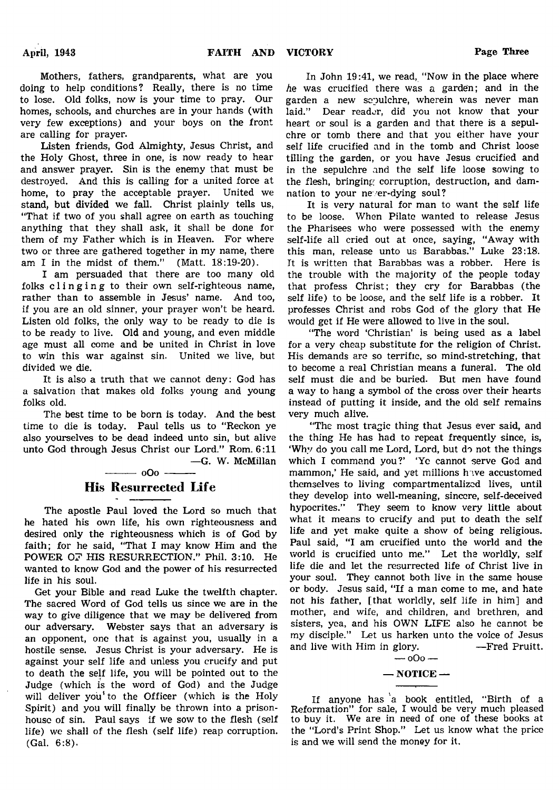Mothers, fathers, grandparents, what are you doing to help conditions? Really, there is no time to lose. Old folks, now is your time to pray. Our homes, schools, and churches are in your hands (with very few exceptions) and your boys on the front are calling for prayer.

Listen friends, God Almighty, Jesus Christ, and the Holy Ghost, three in one, is now ready to hear and answer prayer. Sin is the enemy that must be destroyed. And this is calling for a united force at home, to pray the acceptable prayer. United we stand, but divided we fall. Christ plainly tells us, "That if two of you shall agree on earth as touching anything that they shall ask, it shall be done for them of my Father which is in Heaven. For where two or three are gathered together in my name, there am I in the midst of them." (Matt. 18:19-20).

I am persuaded that there are too many old folks clinging to their own self-righteous name, rather than to assemble in Jesus' name. And too, if you are an old sinner, your prayer won't be heard. Listen old folks, the only way to be ready to die is to be ready to live. Old and young, and even middle age must all come and be united in Christ in love to win this war against sin. United we live, but divided we die.

It is also a truth that we cannot deny: God has a salvation that makes old folks young and young folks old.

The best time to be born is today. And the best time to die is today. Paul tells us to "Reckon ye also yourselves to be dead indeed unto sin, but alive unto God through Jesus Christ our Lord." Rom. 6:11 —G. W. McMillan

## ---------- oOo ---------- His Resurrected Life

The apostle Paul loved the Lord so much that he hated his own life, his own righteousness and desired only the righteousness which is of God by faith; for he said, "That I may know Him and the POWER OF HIS RESURRECTION." Phil. 3:10. He wanted to know God and the power of his resurrected life in his soul.

Get your Bible and read Luke the twelfth chapter. The sacred Word of God tells us since we are in the way to give diligence that we may be delivered from our adversary. Webster says that an adversary is an opponent, one that is against you, usually in a hostile sense. Jesus Christ is your adversary. He is against your self life and unless you crucify and put to death the self life, you will be pointed out to the Judge (which is the word of God) and the Judge will deliver you' to the Officer (which is the Holy Spirit) and you will finally be thrown into a prisonhouse of sin. Paul says if we sow to the flesh (self life) we shall of the flesh (self life) reap corruption. (Gal. 6:8).

In John 19:41, we read, "Now in the place where *he* was crucified there was a garden; and in the garden a new sepulchre, wherein was never man laid." Dear reader, did you not know that your heart or soul is a garden and that there is a sepulchre or tomb there and that you either have your self life crucified and in the tomb and Christ loose tilling the garden, or you have Jesus crucified and in the sepulchre and the self life loose sowing to the flesh, bringing corruption, destruction, and damnation to your never-dying soul?

It is very natural for man to want the self life to be loose. When Pilate wanted to release Jesus the Pharisees who were possessed with the enemy self-life all cried out at once, saying, "Away with this man, release unto us Barabbas." Luke 23:18. It is written that Barabbas was a robber. Here is the trouble with the majority of the people today that profess Christ; they cry for Barabbas (the self life) to be loose, and the self life is a robber. It professes Christ and robs God of the glory that He would get if He were allowed to live in the soul.

"The word 'Christian' is being used as a label for a very cheap substitute for the religion of Christ. His demands are so terrific, so mind-stretching, that to become a real Christian means a funeral. The old self must die and be buried. But men have found a way to hang a symbol of the cross over their hearts instead of putting it inside, and the old self remains very much alive.

"The most tragic thing that Jesus ever said, and the thing He has had to repeat frequently since, is, 'Why do you call me Lord, Lord, but do not the things which I command you?' 'Yc cannot serve God and mammon,' He said, and yet millions have accustomed themselves to living compartmentalized lives, until they develop into well-meaning, sincere, self-deceived hypocrites." They seem to know very little about what it means to crucify and put to death the self life and yet make quite a show of being religious. Paul said, "I am crucified unto the world and the world is crucified unto me." Let the worldly, self life die and let the resurrected life of Christ live in your soul. They cannot both live in the same house or body. Jesus said, "If a man come to me, and hate not his father, [that worldly, self life in him] and mother, and wife, and children, and brethren, and sisters, yea, and his OWN LIFE also he cannot be my disciple." Let us harken unto the voice of Jesus and live with Him in glory. — Fred Pruitt.

> $000 -$  NOTICE  $-$

If anyone has a book entitled, "Birth of a Reformation" for sale, I would be very much pleased to buy it. We are in need of one of these books at the "Lord's Print Shop." Let us know what the price is and we will send the money for it.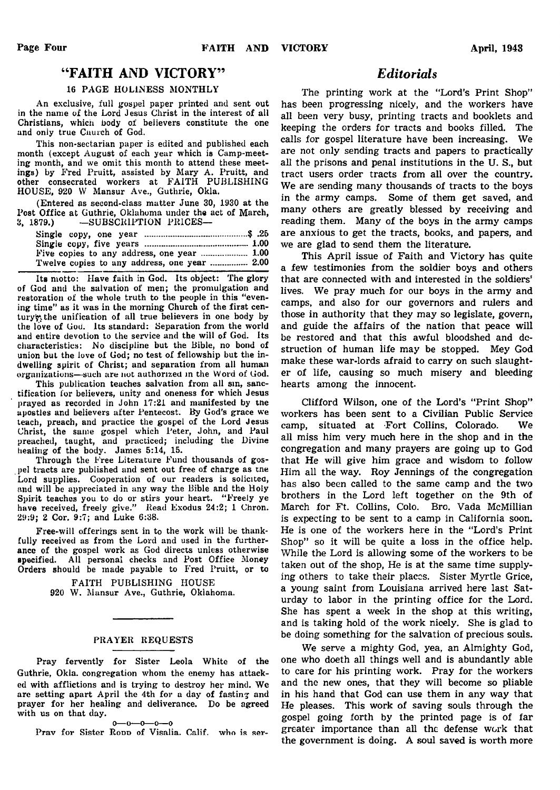## "FAITH AND VICTORY"

#### 16 PAGE HOLINESS MONTHLY

An exclusive, full gospel paper printed and sent out in the name of the Lord Jesus Christ in the interest of all Christians, which body of believers constitute the one and only true Cnurch of God.

This non-sectarian paper is edited and published each month (except August of each year which is Camp-meeting month, and we omit this month to attend these meetings) by Fred Pruitt, assisted by Mary A. Pruitt, and other consecrated workers at FAITH PUBLISHING HOUSE, 920 W Mansur Ave., Guthrie, Okla.

(Entered as second-class matter June 30, 1930 at the Post Office at Guthrie, Oklahoma under the act of March,<br>3, 1879.) -SUBSCRIPTION PRICES---SUBSCRIPTION PRICES-

| Twelve copies to any address, one year  2.00 |  |
|----------------------------------------------|--|

Its motto: Have faith in God. Its object: The glory of God and the salvation of men; the promulgation and restoration of the whole truth to the people in this "evening time" as it was in the morning Church of the first century, the unification of all true believers in one body by the love of Cod. Its standard: Separation from the world and entire devotion to the service and the will of God. Its characteristics: No discipline but the Bible, no bond of union but the love of God; no test of fellowship but the indwelling spirit of Christ; and separation from all human organizations—such are not authorized in the Word of God.

This publication teaches salvation from all sin, sanctification for believers, unity and oneness for which Jesus prayed as recorded in John 17:21 and manifested by tne apostles and believers after Pentecost. By God's grace we teach, preach, and practice the gospel of the Lord Jesus Christ, the same gospel which Peter, John, and Paul preached, taught, and practiced; including the Divine healing of the body. James 5:14, 15.

Through the Free Literature Fund thousands of gospel tracts are published and sent out free of charge as tne Lord supplies. Cooperation of our readers is solicited, and will be appreciated in any way the Bible and the Holy Spirit teaches you to do or stirs your heart. " Freely ye have received, freely give." Read Exodus 24:2; 1 Chron. 29:9; 2 Cor. 9:7; and Luke 6:38.

Free-will offerings sent in to the work will be thankfully received as from the Lord and used in the furtherance of the gospel work as God directs unless otherwise specified. All personal checks and Post Office Money Orders should be made payable to Fred Pruitt, or to

> FAITH PUBLISHING HOUSE 920 W. Mansur Ave., Guthrie, Oklahoma.

#### PRAYER REQUESTS

Pray fervently for Sister Leola White of the Guthrie, Okla. congregation whom the enemy has attacked with afflictions and is trying to destroy her mind. We are setting apart April the 4th for a day of fasting and prayer for her healing and deliverance. Do be agreed with us on that day.  $0 - 0 - 0 - 0 - 0$ 

Prav for Sister Roop of Visalia. Calif. who is ser-

## *Editorials*

The printing work at the "Lord's Print Shop" has been progressing nicely, and the workers have all been very busy, printing tracts and booklets and keeping the orders for tracts and books filled. The calls for gospel literature have been increasing. We are not only sending tracts and papers to practically all the prisons and penal institutions in the U. S., but tract users order tracts from all over the country. We are sending many thousands of tracts to the boys in the army camps. Some of them get saved, and many others are greatly blessed by receiving and reading them. Many of the boys in the army camps are anxious to get the tracts, books, and papers, and we are glad to send them the literature.

This April issue of Faith and Victory has quite a few testimonies from the soldier boys and others that are connected with and interested in the soldiers' lives. We pray much for our boys in the army and camps, and also for our governors and rulers and those in authority that they may so legislate, govern, and guide the affairs of the nation that peace will be restored and that this awful bloodshed and destruction of human life may be stopped. Mey God make these war-lords afraid to carry on such slaughter of life, causing so much misery and bleeding hearts among the innocent.

Clifford Wilson, one of the Lord's "Print Shop" workers has been sent to a Civilian Public Service camp, situated at Fort Collins, Colorado. We all miss him very much here in the shop and in the congregation and many prayers are going up to God that He will give him grace and wisdom to follow Him all the way. Roy Jennings of the congregation has also been called to the same camp and the two brothers in the Lord left together on the 9th of March for Ft. Collins, Colo. Bro. Vada McMillian is expecting to be sent to a camp in California soon. He is one of the workers here in the "Lord's Print Shop" so it will be quite a loss in the office help. While the Lord is allowing some of the workers to be taken out of the shop, He is at the same time supplying others to take their places. Sister Myrtle Grice, a young saint from Louisiana arrived here last Saturday to labor in the printing office for the Lord. She has spent a week in the shop at this writing, and is taking hold of the work nicely. She is glad to be doing something for the salvation of precious souls.

We serve a mighty God, yea, an Almighty God, one who doeth all things well and is abundantly able to care for his printing work. Pray for the workers and the new ones, that they will become so pliable in his hand that God can use them in any way that He pleases. This work of saving souls through the gospel going forth by the printed page is of far greater importance than all the defense work that the government is doing. A soul saved is worth more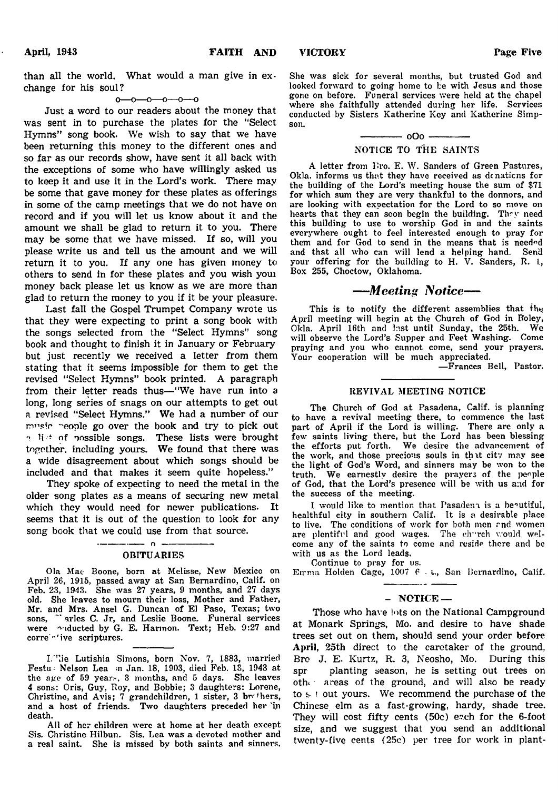than all the world. What would a man give in exchange for his soul?

#### $-0$ -0-0-0-0

Just a word to our readers about the money that was sent in to purchase the plates for the "Select Hymns" song book. We wish to say that we have been returning this money to the different ones and so far as our records show, have sent it all back with the exceptions of some who have willingly asked us to keep it and use it in the Lord's work. There may be some that gave money for these plates as offerings in some of the camp meetings that we do not have on record and if you will let us know about it and the amount we shall be glad to return it to you. There may be some that we have missed. If so, will you please write us and tell us the amount and we will return it to you. If any one has given money to others to send in for these plates and you wish youi money back please let us know as we are more than glad to return the money to you if it be your pleasure.

Last fall the Gospel Trumpet Company wrote us that they were expecting to print a song book with the songs selected from the "Select Hymns" song book and thought to finish it in January or February but just recently we received a letter from them stating that it seems impossible for them to get the revised "Select Hymns" book printed. A paragraph from their letter reads thus— "We have run into a long, long series of snags on our attempts to get out a revised "Select Hymns." We had a number of our music reople go over the book and try to pick out  $\gamma$  list of possible songs. These lists were brought together, including yours. We found that there was a wide disagreement about which songs should be included and that makes it seem quite hopeless."

They spoke of expecting to need the metal in the older song plates as a means of securing new metal which they would need for newer publications. It seems that it is out of the question to look for any song book that we could use from that source.

#### OBITUARIES

 $-$  0  $-$ 

Ola Mae Boone, born at Melisse, New Mexico on April 26, 1915, passed away at San Bernardino, Calif, on Feb. 23, 1943. She was 27 years, 9 months, and 27 days old. She leaves to mourn their loss, Mother and Father, Mr. and Mrs. Ansel G. Duncan of El Paso, Texas; two sons, "arles C. Jr, and Leslie Boone. Funeral services were ouducted by G. E. Harmon. Text; Heb. 9:27 and corre "'ive scriptures.

L''lie Lutishia Simons, born Nov. 7, 1883, married Festu- Nelson Lea m Jan. 18, 1903, died Feb. 13, 1943 at the age of 59 years, 3 months, and 5 days. She leaves 4 sons: Oris, Guy, Roy, and Bobbie; 3 daughters: Lorene, Christine, and Avis; 7 grandchildren, 1 sister, 3 brr\*hers, and a host of friends. Two daughters preceded her 'in death.

All of her children were at home at her death except Sis. Christine Hilbun. Sis. Lea was a devoted mother and a real saint. She is missed by both saints and sinners.

She was sick for several months, but trusted God and looked forward to going home to be with Jesus and those gone on before. Funeral services were held at the chapel where she faithfully attended during her life. Services conducted by Sisters Katherine Key and Katherine Simpson.

## ------------- oOo ------------- NOTICE TO THE SAINTS

A letter from Fro. E. W. Sanders of Green Pastures, Okla. informs us that they have received as donations for the building of the Lord's meeting house the sum of \$71 for which sum they are very thankful to the donnors, and are looking with expectation for the Lord to so move on hearts that they can scon begin the building. They need this building to use to worship God in and the saints everywhere ought to feel interested enough to pray for them and for God to send in the means that is needed and that all who can will lend a helping hand. Send your offering for the building to H. V. Sanders, R. L, Box 255, Choctow, Oklahoma.

## *— Meeting Notice*—

This is to notify the different assemblies that the April meeting will begin at the Church of God in Boley, Okla. April 16th and Inst until Sunday, the 25th. We will observe the Lord's Supper and Feet Washing. Come praying and you who cannot come, send your prayers. Your cooperation will be much appreciated.

— Frances Bell, Pastor.

#### REVIVAL MEETING NOTICE

The Church of God at Pasadena, Calif, is planning to have a revival meeting there, to commence the last part of April if the Lord is willing. There are only a few saints living there, but the Lord has been blessing the efforts put forth. We desire the advancement of the work, and those precious souls in that city may see the light of God's Word, and sinners may be won to the truth. We earnestly desire the prayers of the people of God, that the Lord's presence will be with us and for the success of the meeting.

I would like to mention that Pasadena is a beautiful, healthful city in southern Calif. It is a desirable place to live. The conditions of work for both men and women are plentiful and good wages. The church would welcome any of the saints to come and reside there and be with us as the Lord leads.

Continue to pray for us.

Emma Holden Cage, 1007 6 . t., San Bernardino, Calif.

#### - NOTICE —

Those who have lots on the National Campground at Monark Springs, Mo. and desire to have shade trees set out on them, should send your order before April, 25th direct to the caretaker of the ground, Bro J. E. Kurtz, R. 3, Neosho, Mo. During this spr planting season, he is setting out trees on othi areas of the ground, and will also be ready to s f out yours. We recommend the purchase of the Chinese elm as a fast-growing, hardy, shade tree. They will cost fifty cents (50c) each for the 6-foot size, and we suggest that you send an additional twenty-five cents (25c) per tree for work in plant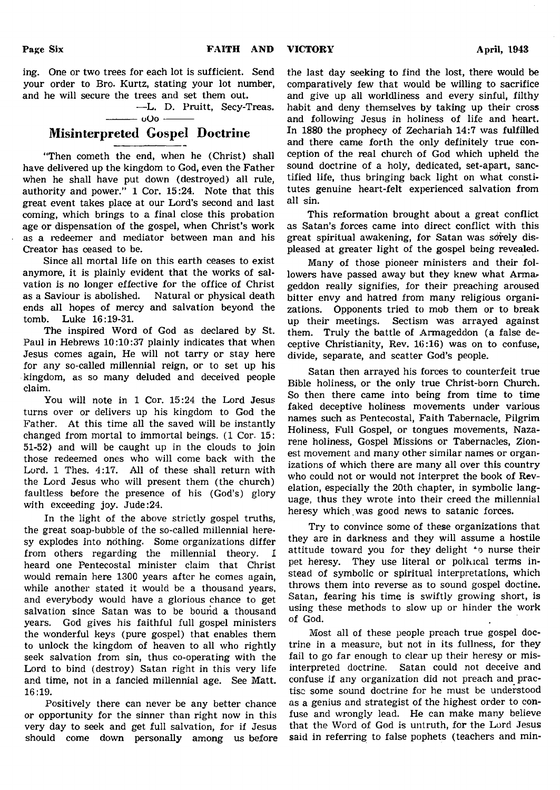ing. One or two trees for each lot is sufficient. Send your order to Bro. Kurtz, stating your lot number, and he will secure the trees and set them out.

—L. D. Pruitt, Secy-Treas.  $-\omega$ Oo  $-$ 

## Misinterpreted Gospel Doctrine

"Then cometh the end, when he (Christ) shall have delivered up the kingdom to God, even the Father when he shall have put down (destroyed) all rule, authority and power." 1 Cor. 15:24. Note that this great event takes place at our Lord's second and last coming, which brings to a final close this probation age or dispensation of the gospel, when Christ's work as a redeemer and mediator between man and his Creator has ceased to be.

Since all mortal life on this earth ceases to exist anymore, it is plainly evident that the works of salvation is no longer effective for the office of Christ as a Saviour is abolished. Natural or physical death ends all hopes of mercy and salvation beyond the tomb. Luke 16:19-31.

The inspired Word of God as declared by St. Paul in Hebrews 10:10:37 plainly indicates that when Jesus comes again, He will not tarry or stay here for any so-called millennial reign, or to set up his kingdom, as so many deluded and deceived people claim.

You will note in 1 Cor. 15:24 the Lord Jesus turns over or delivers up his kingdom to God the Father. At this time all the saved will be instantly changed from mortal to immortal beings. (1 Cor. 15: 51-52) and will be caught up in the clouds to join those redeemed ones who will come back with the Lord. 1 Thes. 4:17. All of these shall return with the Lord Jesus who will present them (the church) faultless before the presence of his (God's) glory with exceeding joy. Jude:24.

In the light of the above strictly gospel truths, the great soap-bubble of the so-called millennial heresy explodes into nothing. Some organizations differ from others regarding the millennial theory. I heard one Pentecostal minister claim that Christ would remain here 1300 years after he comes again, while another stated it would be a thousand years, and everybody would have a glorious chance to get salvation since Satan was to be bound a thousand years. God gives his faithful full gospel ministers the wonderful keys (pure gospel) that enables them to unlock the kingdom of heaven to all who rightly seek salvation from sin, thus co-operating with the Lord to bind (destroy) Satan right in this very life and time, not in a fancied millennial age. See Matt. 16:19.

Positively there can never be any better chance or opportunity for the sinner than right now in this very day to seek and get full salvation, for if Jesus should come down personally among us before

the last day seeking to find the lost, there would be comparatively few that would be willing to sacrifice and give up all worldliness and every sinful, filthy habit and deny themselves by taking up their cross and following Jesus in holiness of life and heart. In 1880 the prophecy of Zechariah 14:7 was fulfilled and there came forth the only definitely true conception of the real church of God which upheld the sound doctrine of a holy, dedicated, set-apart, sanctified life, thus bringing back light on what constitutes genuine heart-felt experienced salvation from all sin.

This reformation brought about a great conflict as Satan's forces came into direct conflict with this great spiritual awakening, for Satan was sorely displeased at greater light of the gospel being revealed.

Many of those pioneer ministers and their followers have passed away but they knew what Armageddon really signifies, for their preaching aroused bitter envy and hatred from many religious organizations. Opponents tried to mob them or to break up their meetings. Sectism was arrayed against them. Truly the battle of Armageddon (a false deceptive Christianity, Rev. 16:16) was on to confuse, divide, separate, and scatter God's people.

Satan then arrayed his forces to counterfeit true Bible holiness, or the only true Christ-born Church. So then there came into being from time to time faked deceptive holiness movements under various names such as Pentecostal, Faith Tabernacle, Pilgrim Holiness, Full Gospel, or tongues movements, Nazarene holiness, Gospel Missions or Tabernacles, Zionest movement and many other similar names or organizations of which there are many all over this country who could not or would not interpret the book of Revelation, especially the 20th chapter, in symbolic language, thus they wrote into their creed the millennial heresy which was good news to satanic forces.

Try to convince some of these organizations that they are in darkness and they will assume a hostile attitude toward you for they delight 'o nurse their pet heresy. They use literal or political terms instead of symbolic or spiritual interpretations, which throws them into reverse as to sound gospel doctine. Satan, fearing his time is swiftly growing short, is using these methods to slow up or hinder the work of God.

Most all of these people preach true gospel doctrine in a measure, but not in its fullness, for they fail to go far enough to clear up their heresy or misinterpreted doctrine. Satan could not deceive and confuse if any organization did not preach and practise some sound doctrine for he must be understood as a genius and strategist of the highest order to confuse and wrongly lead. He can make many believe that the Word of God is untruth, for the Lord Jesus said in referring to false pophets (teachers and min-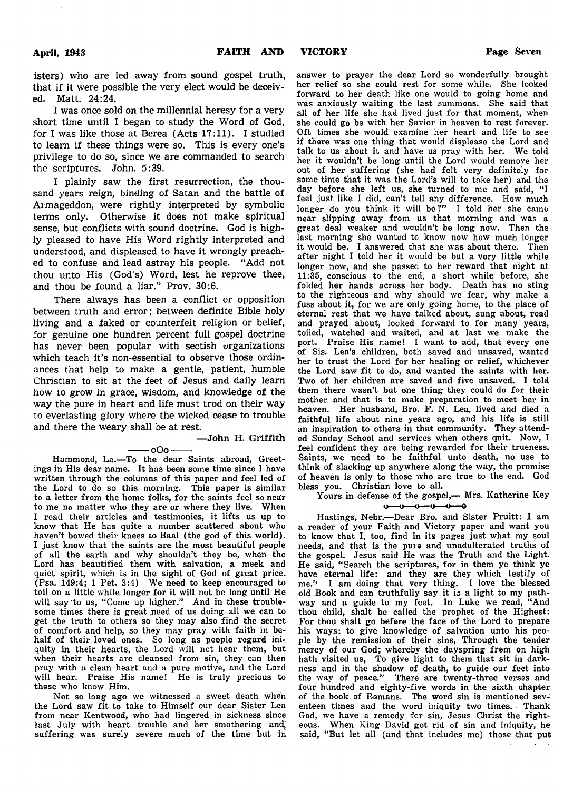isters) who are led away from sound gospel truth, that if it were possible the very elect would be deceived. Matt. 24:24.

I was once sold on the millennial heresy for a very short time until I began to study the Word of God, for I was like those at Berea (Acts 17:11). I studied to learn if these things were so. This is every one's privilege to do so, since we are commanded to search the scriptures. John. 5:39.

I plainly saw the first resurrection, the thousand years reign, binding of Satan and the battle of Armageddon, were rightly interpreted by symbolic terms only. Otherwise it does not make spiritual sense, but conflicts with sound doctrine. God is highly pleased to have His Word rightly interpreted and understood, and displeased to have it wrongly preached to confuse and lead astray his people. "Add not thou unto His (God's) Word, lest he reprove thee, and thou be found a liar." Prov. 30:6.

There always has been a conflict or opposition between truth and error; between definite Bible holy living and a faked or counterfeit religion or belief, for genuine one hundren percent full gospel doctrine has never been popular with sectish organizations which teach it's non-essential to observe those ordinances that help to make a gentle, patient, humble Christian to sit at the feet of Jesus and daily learn how to grow in grace, wisdom, and knowledge of the way the pure in heart and life must trod on their way to everlasting glory where the wicked cease to trouble and there the weary shall be at rest.

— John H. Griffith

- oOo --Hammond, La.— To the dear Saints abroad, Greetings in His dear name. It has been some time since I have written through the columns of this paper and feel led of the Lord to do so this morning. This paper is similar to a letter from the home folks, for the saints feel so near to me no matter who they are or where they live. When I read their articles and testimonies, it lifts us up to know that He has quite a number scattered about who haven't bowed their knees to Baal (the god of this world). I just know that the saints are the most beautiful people of all the earth and why shouldn't they be, when the Lord has beautified them with salvation, a meek and quiet spirit, which is in the sight of God of great price. (Psa. 149:4; 1 Pet. 3:4) We need to keep encouraged to toil on a little while longer for it will not be long until He will say to us, "Come up higher." And in these troublesome times there is great need of us doing all we can to get the truth to others so they may also find the secret of comfort and help, so they may pray with faith in behalf of their loved ones. So long as people regard iniquity in their hearts, the Lord will not hear them, but when their hearts are cleansed from sin, they can then pray with a clean heart and a pure motive, and the Lord will hear. Praise His name! He is truly precious to those who know Him.

Not so long ago we witnessed a sweet death when the Lord saw fit to take to Himself our dear Sister Lea from near Kentwood, who had lingered in sickness since last July with heart trouble and her smothering and, suffering was surely severe much of the time but in

her relief so she could rest for some while. She looked forward to her death like one would to going home and was anxiously waiting the last summons. She said that all of her life she had lived just for that moment, when she could go be with her Savior in heaven to rest forever. Oft times she would examine her heart and life to see if there was one thing that would displease the Lord and talk to us about it and have us pray with her. We told her it wouldn't be long until the Lord would remove her out of her suffering (she had felt very definitely for some time that it was the Lord's will to take her) and the day before she left us, she turned to me and said, "I feel just like I did, can't tell any difference. How much longer do you think it will be?" I told her she came near slipping away from us that morning and was a great deal weaker and wouldn't be long now. Then the last morning she wanted to know now how much longer it would be. I answered that she was about there. Then after night I told her it would be but a very little while longer now, and she passed to her reward that night at 11:35, conscious to the end, a short while before, she folded her hands across her body. Death has no sting to the righteous and why should we fear, why make a fuss about it, for we are only going home, to the place of eternal rest that we have talked about, sung about, read and prayed about, looked forward to for many 'years, toiled, watched and waited, and at last we make the port. Praise His name! I want to add, that every one of Sis. Lea's children, both saved and unsaved, wanted her to trust the Lord for her healing or relief, whichever the Lord saw fit to do, and wanted the saints with her. Two of her children are saved and five unsaved. I told them there wasn't but one thing they could do for their mother and that is to make preparation to meet her in heaven. Her husband, Bro. F. N. Lea, lived and died a faithful life about nine years ago, and his life is still an inspiration to others in that community. They attended Sunday School and services when others quit. Now, I feel confident they are being rewarded for their trueness. Saints, we need to be faithful unto death, no use to think of slacking up anywhere along the way, the promise of heaven is only to those who are true to the end. God bless you. Christian love to all.

answer to prayer the dear Lord so wonderfully brought

Yours in defense of the gospel,— Mrs. Katherine Key

Hastings, Nebr.-Dear Bro. and Sister Pruitt: I am a reader of your Faith and Victory paper and want you to know that I, too, find in its pages just what my soul needs, and that is the pure and unadulterated truths of the gospel. Jesus said He was the Truth and the Light. He said, " Search the scriptures, for in them ye think ye have eternal life: and they are they which testify of me.'' I am doing that very thing. I love the blessed old Book and can truthfully say it is a light to my pathway and a guide to my feet. In Luke we read, " And thou child, shalt be called the prophet of the Highest: For thou shalt go before the face of the Lord to prepare his ways: to give knowledge of salvation unto his people by the remission of their sins, Through the tender mercy of our God; whereby the dayspring from on high hath visited us, To give light to them that sit in darkness and in the shadow of death, to guide our feet into the way of peace." There are twenty-three verses and four hundred and eighty-five words in the sixth chapter of the book of Romans. The word sin is mentioned seventeen times and the word iniquity two times. Thank God, we have a remedy for sin, Jesus Christ the righteous. When King David got rid of sin and iniquity, he said, "But let all (and that includes me) those that put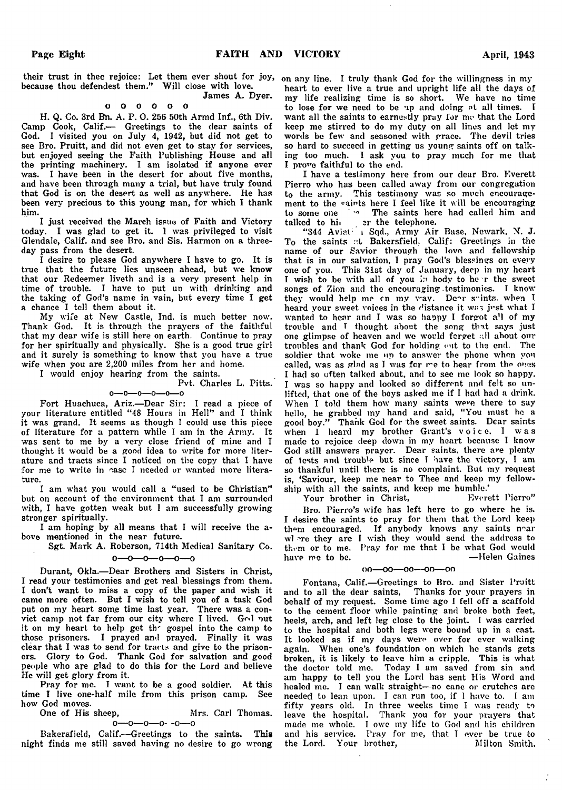their trust in thee rejoice: Let them ever shout for joy, on any line. I truly thank God for the willingness in my because thou defendest them." Will close with love. James A. Dyer.

#### o o o o o o

H. Q. Co. 3rd Bn. A. P. 0. 256 50th Armd Inf., 6th Div. Camp Cook, Calif.— Greetings to the dear saints of God. I visited you on July 4, 1942, but did not get to see Bro. Pruitt, and did not even get to stay for services, but enjoyed seeing the Faith Publishing House and all the printing machinery. I am isolated if anyone ever was. I have been in the desert for about five months, and have been through many a trial, but have truly found that God is on the desert as well as anywhere. He has been very precious to this young man, for which I thank him.

I just received the March issue of Faith and Victory today. I was glad to get it. 1 was privileged to visit Glendale, Calif, and see Bro. and Sis. Harmon on a threeday pass from the desert.

I desire to please God anywhere I have to go. It is true that the future lies unseen ahead, but we know that our Redeemer liveth and is a very present help in time of trouble. I have to put un with drinking and the taking of God's name in vain, but every time I get a chance I tell them about it.

My wife at New Castle, Ind. is much better now. Thank God. It is through the prayers of the faithful that my dear wife is still here on earth. Continue to pray for her spiritually and physically. She is a good true girl and it surely is something to know that you have a true wife when you are 2,200 miles from her and home.

I would enjoy hearing from the saints.

#### Pvt. Charles L. Pitts,

 $0 - 0 - 0 - 0 - 0 - 0$ Fort Huachuca, Ariz.— Dear Sir: I read a piece of your literature entitled "48 Hours in Hell" and I think it was grand. It seems as though I could use this piece of literature for a pattern while I am in the Army. It was sent to me by a very close friend of mine and I thought it would be a good idea to write for more literature and tracts since I noticed on the copy that I have for me to write in case I needed or wanted more literature.

I am what you would call a "used to be Christian" but on account of the environment that I am surrounded with, I have gotten weak but I am successfully growing stronger spiritually.

I am hoping by all means that I will receive the above mentioned in the near future.

Sgt. Mark A. Roberson, 714th Medical Sanitary Co.

 $0 - 0 - 0 - 0 - 0$ 

Durant, Okla.— Dear Brothers and Sisters in Christ, I read your testimonies and get real blessings from them. I don't want to miss a copy of the paper and wish it came more often. But I wish to tell you of a task God put on my heart some time last year. There was a convict camp not far from our city where I lived. God out it on my heart to help get th' gospel into the camp to those prisoners. I prayed and prayed. Finally it was clear that I was to send for tracts and give to the prisoners. Glory to God. Thank God for salvation and good people who are glad to do this for the Lord and believe He will get glory from it.

Pray for me. I want to be a good soldier. At this time I live one-half mile from this prison camp. See how God moves.<br>One of His sheep,

Mrs. Carl Thomas.  $0 - 0 - 0 - 0 - 0 - 0$ 

Bakersfield, Calif.— Greetings to the saints. This night finds me still saved having no desire to go wrong heart to ever live a true and upright life all the days of my life realizing time is so short. We have no time to lose for we need to be up and doing at all times. T want all the saints to earnestly pray for me that the Lord keep me stirred to do my duty on all lines and let my words be few and seasoned with grace. The devil tries so hard to succeed in getting us young saints off on talking too much. I ask you to pray much for me that I prove faithful to the end.

I have a testimony here from our dear Bro. Everett Pierro who has been called away from our congregation to the army. This testimony was so much encouragement to the saints here I feel like it will be encouraging to some one '<sup>\*</sup> The saints here had called him and talked to himplering the telephone.

" 344 Aviat; i Sqd., Army Air Base, Newark, N. J. To the saints at Bakersfield. Calif: Greetings in the name of our Savior through the love and fellowship that is in our salvation, I pray God's blessings on every one of you. This 31st day of January, deep in my heart I wish to be with all of you in body to her the sweet songs of Zion and the encouraging testimonies. I know they would help me cn my way. De $r$  saints, when I heard your sweet voices in the distance it was just what I wanted to hear and I was so happy I forgot all of my trouble and T thought about the song that says just one glimpse of heaven and we would forget ."II about our troubles and thank God for holding out to the end. The soldier that woke me up to answer the phone when von called, was as glad as I was for me to hear from the ones I had so often talked about, and to see me look so happy. I was so happy and looked so different and felt so unlifted, that one of the boys asked me if I had had a drink. When I told them how many saints were there to say hello, he grabbed my hand and said, "You must he a good boy." Thank God for the sweet saints. Dear saints good boy." Thank God for the sweet saints. Dear saints when I heard my brother Grant's voice, I was made to rejoice deep down in my heart because I know God still answers prayer. Dear saints, there are plenty of tests and trouble but since I have the victory, I am so thankful until there is no complaint. But my request is, 'Saviour, keep me near to Thee and keep my fellowship with all the saints, and keep me humble.'<br>Your brother in Christ. Everett Pierro"

Your brother in Christ,

Bro. Pierro's wife has left here to go where he is. I desire the saints to pray for them that the Lord keep them encouraged. If anybody knows any saints near wl ere they are I wish they would send the address to them or to me. Pray for me that I be what God would have me to be.

#### $0.0 - 0.0 - 0.0 - 0.0 - 0.0$

Fontana, Calif.— Greetings to Bro. and Sister Pruitt and to all the dear saints, Thanks for your prayers in behalf of my request. Some time ago I fell off a scaffold to the cement floor while painting and broke both feet, heels, arch, and left leg close to the joint. I was carried to the hospital and both legs were bound up in a cast. It looked as if my days were over for ever walking again. When one's foundation on which he stands gets broken, it is likely to leave him a cripple. This is what the doctor told me. Today I am saved from sin and am happy to tell you the Lord has sent His Word and healed me. I can walk straight-no cane or crutches are needed to lean upon. I can run too, if I have to. I am fifty years old. In three weeks time I was ready to leave the hospital. Thank you for your prayers that made me whole. I owe my life to God and his childre and his service. Pray for me, that I ever be true t the Lord. Your brother, Milton Smith.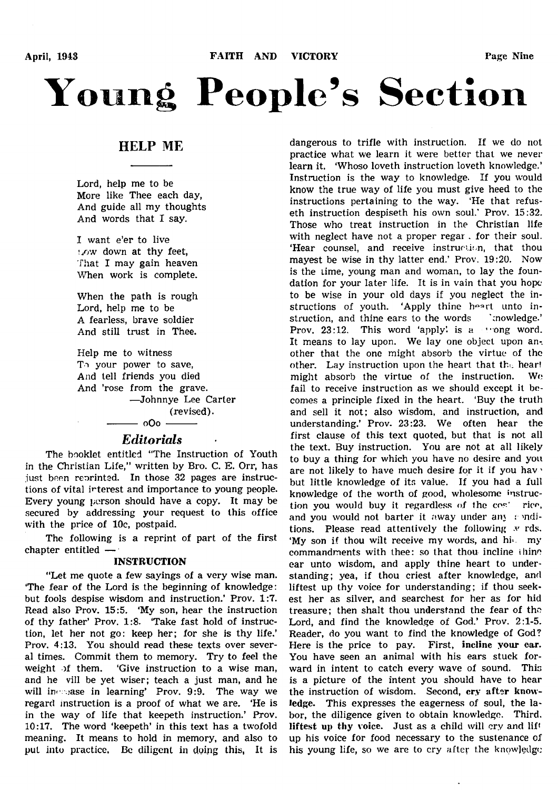# **Young People's Section**

## HELP ME

Lord, help me to be More like Thee each day, And guide all my thoughts And words that I say.

I want e'er to live !/>w down at thy feet, That I may gain heaven When work is complete.

When the path is rough Lord, help me to be A fearless, brave soldier And still trust in Thee.

Help me to witness Tת-your power to save, And tell friends you died And 'rose from the grave. —Johnnye Lee Carter (revised).  $-$  0O0  $-$ 

## *Editorials*

The booklet entitled "The Instruction of Youth in the Christian Life," written by Bro. C. E. Orr, has just been reorinted. In those 32 pages are instructions of vital interest and importance to young people. Every young person should have a copy. It may be secured by addressing your request to this office with the price of 10c, postpaid.

The following is a reprint of part of the first chapter entitled —

#### INSTRUCTION

"Let me quote a few sayings of a very wise man. 'The fear of the Lord is the beginning of knowledge: but fools despise wisdom and instruction.' Prov. 1:7. Read also Prov. 15:5. 'My son, hear the instruction of thy father' Prov. 1:8. Take fast hold of instruction, let her not go: keep her; for she is thy life.' Prov. 4:13. You should read these texts over several times. Commit them to memory. Try to feel the weight of them. 'Give instruction to a wise man, and he vill be yet wiser; teach a just man, and he will increase in learning' Prov. 9:9. The way we regard instruction is a proof of what we are. 'He is in the way of life that keepeth instruction.' Prov. 10:17. The word 'keepeth' in this text has a twofold meaning. It means to hold in memory, and also to put into practice. Be diligent in doing this, It is

dangerous to trifle with instruction. If we do not practice what we learn it were better that we never learn it. 'Whoso loveth instruction loveth knowledge.' Instruction is the way to knowledge. If you would know the true way of life you must give heed to the instructions pertaining to the way. 'He that refuseth instruction despiseth his own soul.' Prov. 15:32. Those who treat instruction in the Christian life with neglect have not a proper regar . for their soul. 'Hear counsel, and receive instruction, that thou mayest be wise in thy latter end.' Prov. 19:20. Now is the time, young man and woman, to lay the foundation for your later life. It is in vain that you hope to be wise in your old days if you neglect the instructions of youth. 'Apply thine hoart unto instruction, and thine ears to the words cnowledge.' Prov.  $23:12$ . This word 'apply' is a "ong word. It means to lay upon. We lay one object upon another that the one might absorb the virtue of the other. Lay instruction upon the heart that the hear! might absorb the virtue of the instruction. Wo fail to receive instruction as we should except it becomes a principle fixed in the heart. 'Buy the truth and sell it not; also wisdom, and instruction, and understanding.' Prov. 23:23. We often hear the first clause of this text quoted, but that is not all the text. Buy instruction. You are not at all likely to buy a thing for which you have no desire and you are not likely to have much desire for it if you hav' but little knowledge of its value. If you had a full knowledge of the worth of good, wholesome instruction you would buy it regardless of the cos' rice, and you would not barter it away under any  $\epsilon$  inditions. Please read attentively the following  $\boldsymbol{v}$  rds. 'My son if thou wilt receive my words, and hi>. my commandments with thee: so that thou incline thing ear unto wisdom, and apply thine heart to understanding; yea, if thou criest after knowledge, and liftest up thy voice for understanding; if thou seekest her as silver, and searchest for her as for hid treasure; then shalt thou understand the fear of the Lord, and find the knowledge of God.' Prov. 2:1-5. Reader, do you want to find the knowledge of God? Here is the price to pay. First, incline your ear. You have seen an animal with his ears stuck forward in intent to catch every wave of sound. This is a picture of the intent you should have to hear the instruction of wisdom. Second, cry after knowledge. This expresses the eagerness of soul, the labor, the diligence given to obtain knowledge. Third, liftest up thy voice. Just as a child will cry and lift up his voice for food necessary to the sustenance of his young life, so we are to cry after the knowledge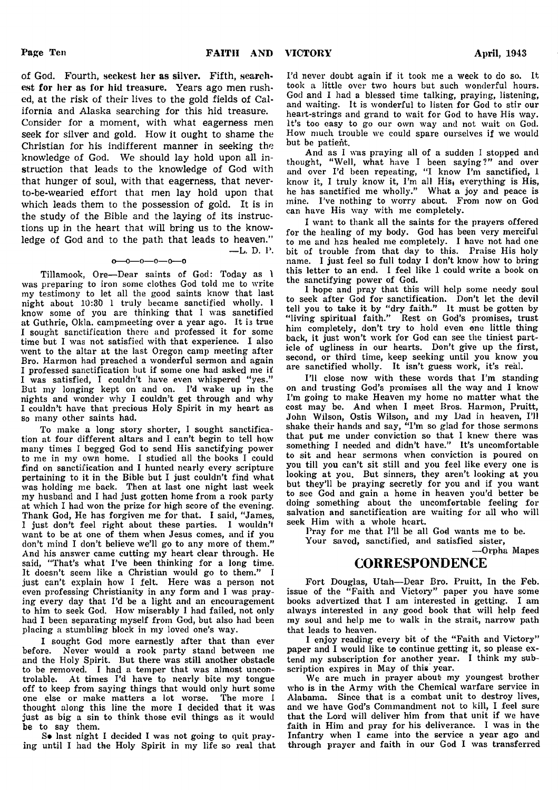— L. D. P.

of God. Fourth, seekest her as silver. Fifth, searchest for her as for hid treasure. Years ago men rushed, at the risk of their lives to the gold fields of California and Alaska searching for this hid treasure. Consider for a moment, with what eagerness men seek for silver and gold. How it ought to shame the Christian for his indifferent manner in seeking the knowledge of God. We should lay hold upon all instruction that leads to the knowledge of God with that hunger of soul, with that eagerness, that neverto-be-wearied effort that men lay hold upon that which leads them to the possession of gold. It is in the study of the Bible and the laying of its instructions up in the heart that will bring us to the knowledge of God and to the path that leads to heaven."

#### $-0$ -0—0—0—

Tillamook, Ore— Dear saints of God: Today as 1 was preparing to iron some clothes God told me to write my testimony to let all the good saints know that last night about 10:30 1 truly became sanctified wholly. 1 know some of you are thinking that I was sanctified at Guthrie, Okla. campmeeting over a year ago. It is true I sought sanctification there and professed it for some time but I was not satisfied with that experience. I also went to the altar at the last Oregon camp meeting after Bro. Harmon had preached a wonderful sermon and again I professed sanctification but if some one had asked me if I was satisfied, I couldn't have even whispered "yes.' But my longing kept on and on. I'd wake up in the nights and wonder why I couldn't get through and why I couldn't have that precious Holy Spirit in my heart as so many other saints had.

To make a long story shorter, I sought sanctification at four different altars and I can't begin to tell how many times I begged God to send His sanctifying power to me in my own home. I studied all the books I could find on sanctification and I hunted nearly every scripture pertaining to it in the Bible but I just couldn't find what was holding me back. Then at last one night last week my husband and I had just gotten home from a rook party at which I had won the prize for high score of the evening. Thank God, He has forgiven me for that. I said, "James, I just don't feel right about these parties. I wouldn't want to be at one of them when Jesus comes, and if you don't mind I don't believe we'll go to any more of them." And his answer came cutting my heart clear through. He said, "That's what I've been thinking for a long time. It doesn't seem like a Christian would go to them." I just can't explain how I felt. Here was a person not even professing Christianity in any form and I was praying every day that I'd be a light and an encouragement to him to seek God. How miserably I had failed, not only had I been separating myself from God, but also had been placing a stumbling block in my loved one's way.

I sought God more earnestly after that than ever before. Never would a rook party stand between me and the Holy Spirit. But there was still another obstacle to be removed. I had a temper that was almost uncontrolable. At times I'd have to nearly bite my tongue off to keep from saying things that would only hurt some one else or make matters a lot worse. The more I thought along this line the more I decided that it was just as big a sin to think those evil things as it would be to say them.

So last night I decided I was not going to quit praying until I had the Holy Spirit in my life so real that I'd never doubt again if it took me a week to do so. It took a little over two hours but such wonderful hours. God and I had a blessed time talking, praying, listening, and waiting. It is wonderful to listen for God to stir our heart-strings and grand to wait for God to have His way. It's too easy to go our own way and not wait on God. How much trouble we could spare ourselves if we would but be patient.

And as I was praying all of a sudden I stopped and thought, " Well, what have I been saying?" and over and over I'd been repeating, "I know I'm sanctified, 1 know it, I truly know it, I'm all His} everything is His, he has sanctified me wholly." What a joy and peace is mine. I've nothing to worry about. From now on God can have His way with me completely.

I want to thank all the saints for the prayers offered for the healing of my body. God has been very merciful to me and has healed me completely. I have not had one bit of trouble from that day to this. Praise His holy name. I just feel so full today I don't know how to bring this letter to an end. I feel like 1 could write a book on the sanctifying power of God.

I hope and pray that this will help some needy soul to seek after God for sanctification. Don't let the devil tell you to take it by " dry faith." It must be gotten by " living spiritual faith." Rest on God's promises, trust him completely, don't try to hold even one little thing back, it just won't work for God can see the tiniest particle of ugliness in our hearts. Don't give up the first, second, or third time, keep seeking until you know you are sanctified wholly. It isn't guess work, it's real.

I'll close now with these words that I'm standing on and trusting God's promises all the way and I know I'm going to make Heaven my home no matter what the cost may be. And when I meet Bros. Harmon, Pruitt, John Wilson, Ostis Wilson, and my Dad in heaven, I'll shake their hands and say, " I'm so glad for those sermons that put me under conviction so that I knew there was something I needed and didn't have." It's uncomfortable to sit and hear sermons when conviction is poured on you till you can't sit still and you feel like every one is looking at you. But sinners, they aren't looking at you but they'll be praying secretly for you and if you want to see God and gain a home in heaven you'd better be doing something about the uncomfortable feeling for salvation and sanctification are waiting for all who will seek Him with a whole heart.

Pray for me that I'll be all God wants me to be.

Your saved, sanctified, and satisfied sister,

— Orpha Mapes

### CORRESPONDENCE

Fort Douglas, Utah— Dear Bro. Pruitt, In the Feb. issue of the "Faith and Victory" paper you have some books advertized that I am interested in getting. I am always interested in any good book that will help feed my soul and help me to walk in the strait, narrow path that leads to heaven.

I enjoy reading every bit of the "Faith and Victory" paper and I would like to continue getting it, so please extend my subscription for another year. I think my subscription expires in May of this year.

We are much in prayer about my youngest brother who is in the Army with the Chemical warfare service in Alabama. Since that is a combat unit to destroy lives, and we have God's Commandment not to kill, I feel sure that the Lord will deliver him from that unit if we have faith in Him and pray for his deliverance. I was in the Infantry when I came into the service a year ago and through prayer and faith in our God I was transferred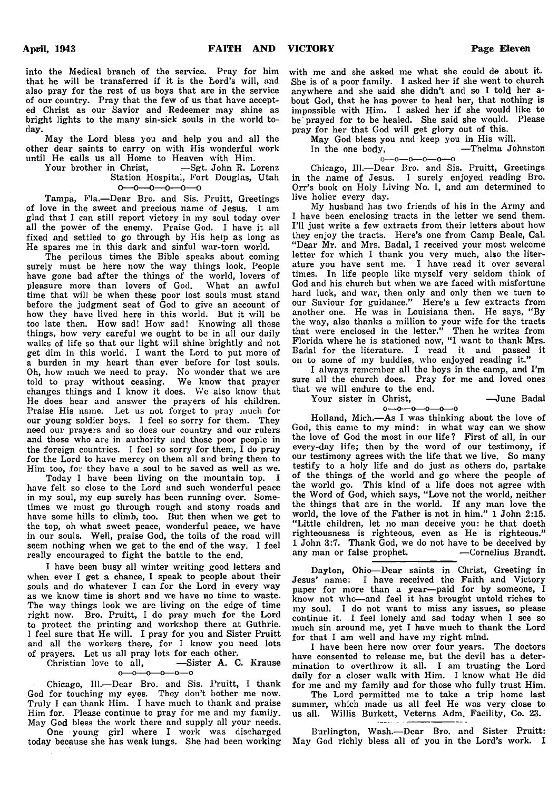into the Medical branch of the service. Pray for him that he will be transferred if it is the Lord's will, and also pray for the rest of us boys that are in the service of our country. Pray that the few of us that have accepted Christ as our Savior and Redeemer may shine as bright lights to the many sin-sick souls in the world today.

May the Lord bless you and help you and all the other dear saints to carry on with His wonderful work until He calls us all Home to Heaven with Him.<br>Your brother in Christ, -Sgt. John R. L.

-Sgt. John R. Lorenz Station Hospital, Fort Douglas, Utah  $0$ — $0$ — $0$ — $0$ — $0$ — $0$ 

Tampa, Fla.— Dear Bro. and Sis. Pruitt, Greetings of love in the sweet and precious name of Jesus. I am glad that I can still report victory in my soul today over all the power of the enemy. Praise God. I have it all fixed and settled to go through by His help as long as He spares me in this dark and sinful war-torn world.

The perilous times the Bible speaks about coming surely must be here now the way things look. People have gone bad after the things of the world, lovers of pleasure more than lovers of God. What an awful time that will be when these poor lost souls must stand before the judgment seat of God to give an account of how they have lived here in this world. But it will be too late then. How sad! How sad! Knowing all these things, how very careful we ought to be in all our daily walks of life so that our light will shine brightly and not get dim in this world. I want the Lord to put more of a burden in my heart than ever before for lost souls. Oh, how much we need to pray. No wonder that we are told to pray without ceasing. We know that prayer changes things and I know it does. We also know that He does hear and answer the prayers of his children. Praise His name. Let us not forget to pray much for our young soldier boys. I feel so sorry for them. They need our prayers and so does our country and our rulers and those who are in authority and those poor people in the foreign countries. I feel so sorry for them, I do pray for the Lord to have mercy on them all and bring them to Him too, for they have a soul to be saved as well as we.

Today I have been living on the mountain top. I have felt so close to the Lord and such wonderful peace in my soul, my cup surely has been running over. Sometimes we must go through rough and stony roads and have some hills to climb, too. But then when we get to the top, oh what sweet peace, wonderful peace, we have in our souls. Well, praise God, the toils of the road will seem nothing when we get to the end of the way. I feel really encouraged to fight the battle to the end.

I have been busy all winter writing good letters and when ever I get a chance, I speak to people about their souls and do whatever I can for the Lord in every way as we know time is short and we have no time to waste. The way things look we are living on the edge of time right now. Bro. Pruitt, I do pray much for the Lord to protect the printing and workshop there at Guthrie. I feel sure that He will. I pray for you and Sister Pruitt and all the workers there, for I know you need lots of prayers. Let us all pray lots for each other.<br>Christian love to all, -Sister A. C

-Sister A. C. Krause  $0 - 0 - 0 - 0 - 0$ 

Chicago, 111.— Dear Bro. and Sis. Pruitt, I thank God for touching my eyes. They don't bother me now. Truly I can thank Him. I have much to thank and praise Him for. Please continue to pray for me and my family. May God bless the work there and supply all your needs.

One young girl where I work was discharged today because she has weak lungs. She had been working

with me and she asked me what she could de about it. She is of a poor family. I asked her if she went to church anywhere and she said she didn't and so I told her about God, that he has power to heal her, that nothing is impossible with Him. I asked her if she would like to be' prayed for to be healed. She said she would. Please pray for her that God will get glory out of this.

May God bless you and keep you in His will.

In the one body,<br> $0 \rightarrow 0 \rightarrow 0 \rightarrow 0 \rightarrow 0 \rightarrow 0$ 

Chicago, 111.— Dear Bro. and Sis. Pruitt, Greetings in the name of Jesus. I surely enjoyed reading Bro. Orr's book on Holy Living No. I, and am determined to live holier every day.

My husband has two friends of his in the Army and I have been enclosing tracts in the letter we send them. I'll just write a few extracts from their letters about how they enjoy the tracts. Here's one from Camp Beale, Cal. "Dear Mr. and Mrs. Badal, I received your most welcome letter for which I thank you very much, also the literature you have sent me. I have read it over several times. In life people like myself very seldom think of God and his church but when we are faced with misfortune hard luck, and war, then only and only then we turn to our Saviour for guidance." Here's a few extracts from another one. He was in Louisiana then. He says, "By the way, also thanks a million to your wife for the tracts that were enclosed in the letter." Then he writes from Florida where he is stationed now, "I want to thank Mrs. Badal for the literature. I read it and passed it on to some of my buddies, who enjoyed reading it."

I always remember all the boys in the camp, and I'm sure all the church does. Pray for me and loved ones that we will endure to the end.

o— o— o— o— o— o

Your sister in Christ, —June Badal

Holland, Mich.— As I was thinking about the love of God, this came to my mind: in what way can we show the love of God the most in our life ? First of all, in our every-day life; then by the word of our testimony, if our testimony agrees with the life that we live. So many testify to a holy life and do just as others do, partake of the things of the world and go where the people of the world go. This kind of a life does not agree with the Word of God, which says, " Love not the world, neither the things that are in the world. If any man love the world, the love of the Father is not in him." 1 John 2:15. "Little children, let no man deceive you: he that doeth righteousness is righteous, even as He is righteous." 1 John 3:7. Thank God, we do not have to be deceived by any man or false prophet. <br>-Cornelius Brandt. any man or false prophet.

Dayton, Ohio— Dear saints in Christ, Greeting in Jesus' name: I have received the Faith and Victory paper for more than a year-paid for by someone, I know not who— and feel it has brought untold riches to my soul. I do not want to miss any issues, so please continue it. I feel lonely and sad today when 1 see so much sin around me, yet I have much to thank the Lord for that I am well and have my right mind.

I have been here now over four years. The doctors have consented to release me, but the devil has a determination to overthrow it all. I am trusting the Lord daily for a closer walk with Him. I know what He did for me and my family and for those who fully trust Him.

The Lord permitted me to take a trip home last summer, which made us all feel He was very close to us all. Willis Burkett, Veterns Adm. Facility, Co. 23.

Burlington, Wash.— Dear Bro. and Sister Pruitt: May God richly bless all of you in the Lord's work. I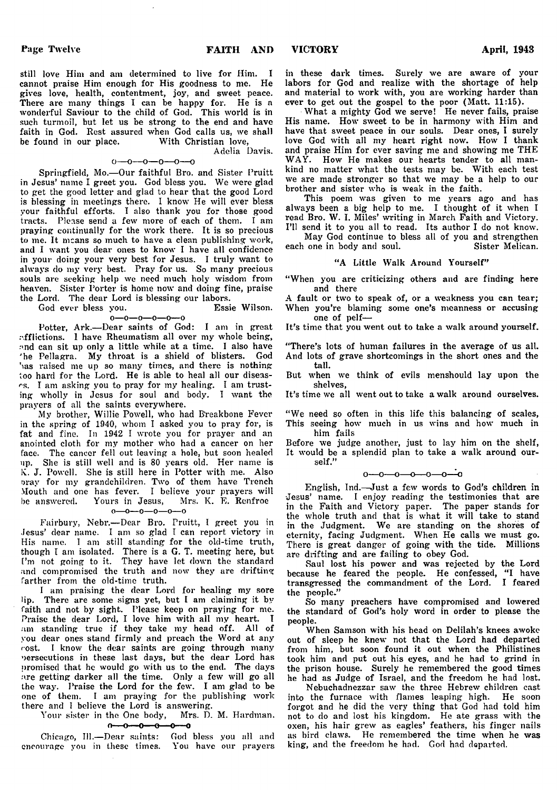still love Him and am determined to live for Him. I cannot praise Him enough for His goodness to me. He gives love, health, contentment, joy, and sweet peace. There are many things I can be happy for. He is a wonderful Saviour to the child of God. This world is in such turmoil, but let us be strong to the end and have faith in God. Rest assured when God calls us, we shall be found in our place. With Christian love, be found in our place.

> Adelia Davis.  $0 - 0 - 0 - 0 - 0$

Springfield, Mo.— Our faithful Bro. and Sister Pruitt in Jesus' name I greet you. God bless you. We were glad to get the good letter and glad to hear that the good Lord is blessing in meetings there. I know He will ever bless your faithful efforts. I also thank you for those good tracts. Please send a few more of each of them. I am praying continually for the work there. It is so precious to me. It means so much to have a clean publishing work, and I want you dear ones to know I have all confidence in your doing your very best for Jesus. I truly want to always do my very best. Pray for us. So many precious souls are seeking help we need much holy wisdom from heaven. Sister Porter is home now and doing fine, praise the Lord. The dear Lord is blessing our labors.

God ever bless you.

o—o—o— o—o— o Potter, Ark.— Dear saints of God: I am in great .-.fflictions. I have Rheumatism all over my whole being, and can sit up only a little while at a time. I also have 'he Pellagra. My throat is a shield of blisters. God has raised me up so many times, and there is nothing too hard for the Lord. He is able to heal all our diseases. I am asking you to pray for my healing. I am trusting wholly in Jesus for soul and body. I want the prayers of all the saints everywhere.

My brother, Willie Powell, who had B'reakbone Fever in the spring of 1940, whom I asked you to pray for, is fat and fine. In 1942 I wrote you for prayer and an anointed cloth for my mother who had a cancer on her face. The cancer fell out leaving a hole, but soon healed up. She is still well and is 80 years old. Her name is K. J. Powell. She is still here in Potter with me. Also orav for my grandchildren. Two of them have Trench Mouth and one has fever. I believe your prayers will be answered. Yours in Jesus, Mrs. K. E. Renfroe

 $0 - 0 - 0 - 0 - 0 - 0$ 

Fairbury, Nebi\— Dear Bro. Pruitt, I greet you in Jesus' dear name. I am so glad I can report victory in His name. I am still standing for the old-time truth, though I am isolated. There is a G. T. meeting here, but I'm not going to it. They have let down the standard and compromised the truth and now they are drifting farther from the old-time truth.

I am praising the dear Lord for healing my sore lip. There are some signs yet, but I am claiming it by faith and not by sight. Please keep on praying for me. Praise the dear Lord, I love him with all my heart. I am standing true if they take my head off. All of you dear ones stand firmly and preach the Word at any cost. I know the dear saints are going through many persecutions in these last days, but the dear Lord has promised that he would go with us to the end. The days are getting darker all the time. Only a few will go all the way. Praise the Lord for the few. I am glad to be one of them. I am praying for the publishing work there and I believe the Lord is answering.

Your sister in the One body, Mrs. D. M. Hardman.

 $0 - 0 - 0 - 0 - 0 - 0$ 

Chicago, 111.— Dear saints: God bless you all and encourage you in these times. You have our prayers in these dark times. Surely we are aware of your labors for God and realize with the shortage of help and material to work with, you are working harder than ever to get out the gospel to the poor (Matt. 11:15).

What a mighty God we serve! He never fails, praise His name. How sweet to be in harmony with Him and have that sweet peace in our souls. Dear ones, I surely love God with all my heart right now. How I thank and praise Him for ever saving me and showing me THE WAY. How He makes our hearts tender to all mankind no matter what the tests may be. With each test we are made stronger so that we may be a help to our brother and sister who is weak in the faith.

This poem was given to me years ago and has always been a big help to me. I thought of it when I read Bro. W. I. Miles' writing in March Faith and Victory. I'll send it to you all to read. Its author I do not know.

May God continue to bless all of you and strengthen<br>one in body and soul. Sister Melican. each one in body and soul.

#### "A Little Walk Around Yourself"

"When you are criticizing others and are finding here and there

A fault or two to speak of, or a weakness you can tear; When you're blaming some one's meanness or accusing one of pelf—

It's time that you went out to take a walk around yourself.

"There's lots of human failures in the average of us all. And lots of grave shortcomings in the short ones and the tall.

But when we think of evils menshould lay upon the shelves,

It's time we all went out to take a walk around ourselves.

"We need so often in this life this balancing of scales, This seeing how much in us wins and how much in him fails

Before we judge another, just to lay him on the shelf, It would be a splendid plan to take a walk around ourself."

#### $0-0-0-0-0-0-0$

English, Ind.—Just a few words to God's children in Jesus' name. I enjoy reading the testimonies that are in the Faith and Victory paper. The paper stands for the whole truth and that is what it will take to stand in the Judgment. We are standing on the shores of eternity, facing Judgment. When He calls we must go. There is great danger of going with the tide. Millions are drifting and are failing to obey God.

Saul lost his power and was rejected by the Lord because he feared the people. He confessed, "I have transgressed the commandment of the Lord. I feared the people."

So many preachers have compromised and lowered the standard of God's holy word in order to please the people.

When Samson with his head on Delilah's knees awoke out of sleep he knew not that the Lord had departed from him, but soon found it out when the Philistines took him and put out his eyes, and he had to grind in the prison house. Surely he remembered the good times he had as Judge of Israel, and the freedom he had lost.

Nebuchadnezzar saw the three Hebrew children cast into the furnace with flames leaping high. He soon forgot and he did the very thing that God had told him not to do and lost his kingdom. He ate grass with the oxen, his hair grew as eagles' feathers, his finger nails as bird claws. He remembered the time when he was king, and the freedom he had. God had departed.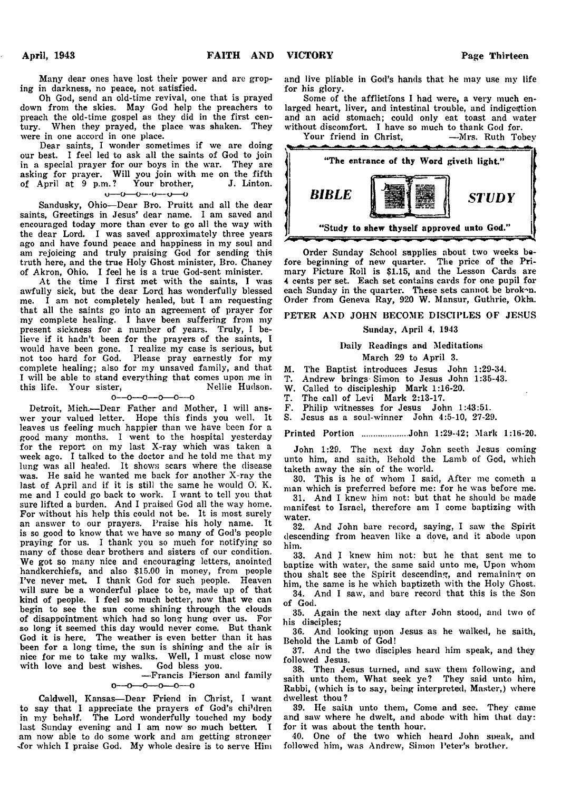Many dear ones have lost their power and are groping in darkness, no peace, not satisfied.

Oh God, send an old-time revival, one that is prayed down from the skies. May God help the preachers to preach the old-time gospel as they did in the first century. When they prayed, the place was shaken. They were in one accord in one place.

Dear saints, I wonder sometimes if we are doing our best. I feel led to ask all the saints of God to join in a special prayer for our boys in the war. They are asking for prayer. Will you join with me on the fifth of April at 9 p.m. ? Your brother, J. Linton, o— o— o— o— *x)*— o

Sandusky, Ohio— Dear Bro. Pruitt and all the dear saints, Greetings in Jesus' dear name. I am saved and encouraged today more than ever to go all the way with the dear Lord. I was saved approximately three years ago and have found peace and happiness in my soul and am rejoicing and truly praising God for sending this truth here, and the true Holy Ghost minister, Bro. Chaney of Akron, Ohio. I feel he is a true God-sent minister.

At the time I first met with the saints, I was awfully sick, but the dear Lord has wonderfully blessed me. I am not completely healed, but I am requesting that all the saints go into an agreement of prayer for my complete healing. I have been suffering from my present sickness for a number of years. Truly, I believe if it hadn't been for the prayers of the saints, I would have been gone. I realize my case is serious, but not too hard for God. Please pray earnestly for my complete healing; also for my unsaved family, and that I will be able to stand everything that comes upon me in this life. Your sister,<br> $0--0---0---0---0$ 

Detroit, Mich.— Dear Father and Mother, I will answer your valued letter. Hope this finds you well. It leaves us feeling much happier than we have been for a good many months. I went to the hospital yesterday for the report on my last X-ray which was taken a week ago. I talked to the doctor and he told me that my lung was all healed. It shows scars where the disease was. He said he wanted me back for another X-ray the last of April and if it is still the same he would *O'.* K. me and I could go back to work. I want to tell you that sure lifted a burden. And I praised God all the way home. For without his help this could not be. It is most surely an answer to our prayers. Praise his holy name. It is so good to know that we have so many of God's people praying for us. I thank you so much for notifying so many of those dear brothers and sisters of our condition. We got so many nice and encouraging letters, anointed handkerchiefs, and also \$15.00 in money, from people I've never met. I thank God for such people. Heaven will sure be a wonderful place to be, made up of that kind of people. I feel so much better, now that we can begin to see the sun come shining through the clouds of disappointment which had so long hung over us. For so long it seemed this day would never come. But thank God it is here. The weather is even better than it has been for a long time, the sun is shining and the air is nice for me to take my walks. Well, I must close now with love and best wishes. God bless you.

#### — Francis Pierson and family  $0 - 0 - 0 - 0 - 0 - 0$

Caldwell, Kansas— Dear Friend in Christ, I want to say that I appreciate the prayers of God's children in my behalf. The Lord wonderfully touched my body last Sunday evening and I am now so much better. I am now able to do some work and am getting stronger -for which I praise God. My whole desire is to serve Him and live pliable in God's hands that he may use my life for his glory.

Some of the afflictions I had were, a very much enlarged heart, liver, and intestinal trouble, and indigestion and an acid stomach; could only eat toast and water without discomfort. I have so much to thank God for.<br>Your friend in Christ, -Mrs. Ruth Tobey

Your friend in Christ.



Order Sunday School supplies about two weeks before beginning of new quarter. The price of the Primary Picture Roll is \$1.15, and the Lesson Cards are **4** cents per set. Each set contains cards for one pupil for each Sunday in the quarter. These sets cannot be brok^n. Order from Geneva Ray, 920 W. Mansur, Guthrie, Okla.

#### PETER AND JOHN BECOME DISCIPLES OF JESUS

#### Sunday, April 4, 1943

## Daily Readings and Meditations

- March 29 to April 3.
- M. The Baptist introduces Jesus John 1:29-34.
- T. Andrew brings-Simon to Jesus John 1:35-43.
- W. Called to discipleship Mark 1:16-20.<br>T. The call of Levi Mark 2:13-17.
- T. The call of Levi Mark 2:13-17.
- F. Philip witnesses for Jesus John 1:43:51.
- Jesus as a soul-winner John 4:5-10, 27-29.

Printed Portion ................... John 1:29-42; Mark 1:16-20.

John 1:29. The next day John seeth Jesus coming unto him, and saith, Behold the Lamb of God, which taketh away the sin of the world.

30. This is he of whom I said, After me cometh a man which is preferred before me: for he was before me.

31. And I knew him not: but that he should be made manifest to Israel, therefore am I come baptizing with water.

32. And John bare record, saying, I saw the Spirit descending from heaven like a dove, and it abode upon him.

33. And I knew him not: but he that sent me to baptize with water, the same said unto me, Upon whom thou shalt see the Spirit descending, and remaining on him, the same is he which baptizeth with the Holy Ghost.

34. And I saw, and bare record that this is the Son of God.

35. Again the next day after John stood, and two of his disciples;

36. And looking upon Jesus as he walked, he saith, Behold the Lamb of God!

37. And the two disciples heard him speak, and they followed Jesus.

38. Then Jesus turned, and saw them following, and saith unto them, What seek ye? They said unto him, Rabbi, (which is to say, being interpreted, Master,) where dwellest thou?

39. He sailh unto them, Come and see. They came and saw where he dwelt, and abode with him that day: for it was about the tenth hour.

40. One of the two which heard John speak, and followed him, was Andrew, Simon Peter's brother.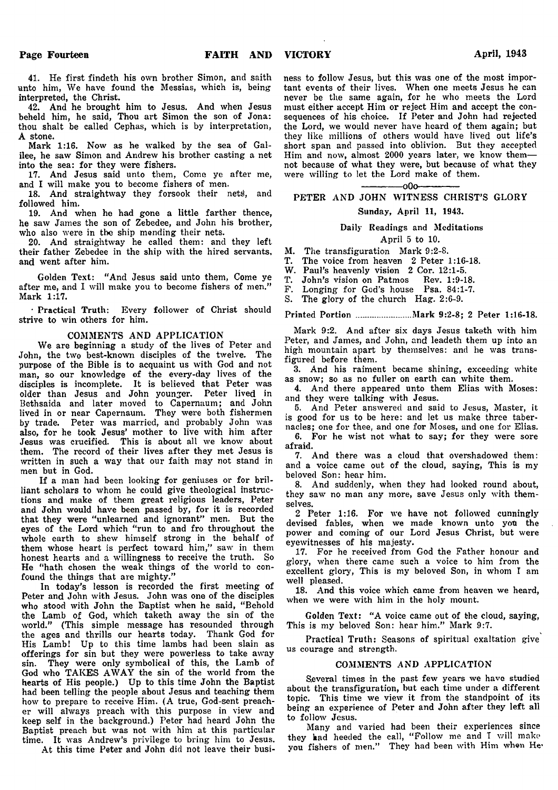41. He first findeth his own brother Simon, and saith unto him, We have found the Messias, which is, being interpreted, the Christ.

42. And he brought him to Jesus. And when Jesus beheld him, he said, Thou art Simon the son of Jona: thou shalt be called Cephas, which is by interpretation, A stone.

Mark 1:16. Now as he walked by the sea of Galilee, he saw Simon and Andrew his brother casting a net into the sea: for they were fishers.

17. And Jesus said unto them, Come ye after me, and I will make you to become fishers of men.

18. And straightway they forsook their nets), and followed him.

19. And when he had gone a little farther thence, he saw James the son of Zebedee, and John his brother, who also were in the ship mending their nets.

20. And straightway he called them: and they left their father Zebedee in the ship with the hired servants, and went after him.

Golden Text: " And Jesus said unto them, Come ye after me, and I will make you to become fishers of men." Mark 1:17.

• Practical Truth: Every follower of Christ should strive to win others for him.

#### COMMENTS AND APPLICATION

We are beginning a study of the lives of Peter and John, the two best-known disciples of the twelve. The purpose of the Bible is to acquaint us with God and not man, so our knowledge of the every-day lives of the disciples is incomplete. It is believed that Peter was older than Jesus and John younger. Peter lived in Bethsaida and later moved to Capernaum; and John lived in or near Capernaum. They were both fishermen by trade. Peter was married, and probably John was also, for he took Jesus' mother to live with him after Jesus was crucified. This is about all we know about them. The record of their lives after they met Jesus is written in such a way that our faith may not stand in men but in God.

If a man had been looking for geniuses or for brilliant scholars to whom he could give theological instructions and make of them great religious leaders, Peter and John would have been passed by, for it is recorded that they were "unlearned and ignorant" men. But the eyes of the Lord which "run to and fro throughout the whole earth to shew himself strong in the behalf of them whose heart is perfect toward him," saw in them honest hearts and a willingness to receive the truth. So He "hath chosen the weak things of the world to confound the things that are mighty."

In today's lesson is recorded the first meeting of Peter and John with Jesus. John was one of the disciples who stood with John the Baptist when he said, "Behold the Lamb of God, which taketh away the sin of the world." (This simple message has resounded through the ages and thrills our hearts today. Thank God for His Lamb! Up to this time lambs had been slain as offerings for sin but they were powerless to take away sin. They were only symbolical of this, the Lamb of God who TAKES AWAY the sin of the world from the hearts of His people.) Up to this time John the Baptist had been telling the people about Jesus and teaching them how to prepare to receive Him. (A true, God-sent preacher will always preach with this purpose in view and keep self in the background.) Peter had heard John the Baptist preach but was not with him at this particular time. It was Andrew's privilege to bring him to Jesus.

At this time Peter and John did not leave their busi-

ness to follow Jesus, but this was one of the most important events of their lives. When one meets Jesus he can never be the same again, for he who meets the Lord must either accept Him or reject Him and accept the consequences of his choice. If Peter and John had rejected the Lord, we would never have heard of them again; but they like millions of others would have lived out life's short span and passed into oblivion. But they accepted Him and now, almost 2000 years later, we know them not because of what they were, but because of what they were willing to let the Lord make of them.

 $-000-$ 

## PETER AND JOHN WITNESS CHRIST'S GLORY

#### Sunday, April 11, 1943.

Daily Readings and Meditations

## April 5 to 10.

M. The transfiguration Mark 9:2-8.<br>T. The voice from heaven 2 Peter 1 The voice from heaven 2 Peter 1:16-18.

W. Paul's heavenly vision 2 Cor. 12:1-5.<br>T. John's vision on Patmos Rev. 1:9-1

T. John's vision on Patmos Rev. 1:9-18.

F. Longing for God's house Psa. 84:1-7.

S. The glory of the church Hag. 2:6-9.

Printed Portion ....................... Mark 9:2-8; 2 Peter 1:16-18.

Mark 9:2. And after six days Jesus taketh with him Peter, and James, and John, and leadeth them up into an high mountain apart by themselves: and he was transfigured before them.

3. And his raiment became shining, exceeding white as snow; so as no fuller on earth can white them.

4. And there appeared unto them Elias with Moses: and they were talking with Jesus.

5. And Peter answered and said to Jesus, Master, it is good for us to be here: and let us make three tabernacles; one for thee, and one for Moses, and one for Elias.

6. For he wist not what to say; for they were sore afraid.

7. And there was a cloud that overshadowed them: and a voice came out of the cloud, saying, This is my beloved Son: hear him.

8. And suddenly, when they had looked round about, they saw no man any more, save Jesus only with themselves.

2 Peter 1:16. For we have not followed cunningly devised fables, when we made known unto you the power and coming of our Lord Jesus Christ, but were eyewitnesses of his majesty.

17. For he received from God the Father honour and glory, when there came such a voice to him from the excellent glory, This is my beloved Son, in whom I am well pleased.

18. And this voice which came from heaven we heard, when we were with him in the holy mount.

Golden Text: "A voice came out of the cloud, saying, This is my beloved Son: hear him." Mark 9:7.

Practical Truth: Seasons of spiritual exaltation give us courage and strength.

#### COMMENTS AND APPLICATION

Several times in the past few years we have studied about the transfiguration, but each time under a different topic. This time we view it from the standpoint of its being an experience of Peter and John after they left all to follow Jesus.

Many and varied had been their experiences since they had heeded the call, "Follow me and I will make you fishers of men." They had been with Him when He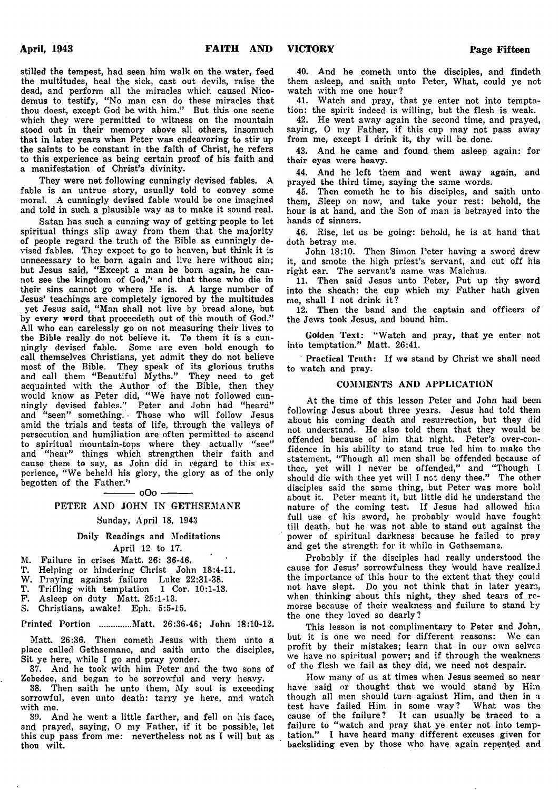stilled the tempest, had seen him walk on the water, feed the multitudes, heal the sick, cast out devils, raise the dead, and perform all the miracles which caused Nicodemus to testify, " No man can do these miracles that thou doest, except God be with him." But this one scene which they were permitted to witness on the mountain stood out in their memory above all others, insomuch that in later years when Peter was endeavoring to stir up the saints to be constant in the faith of Christ, he refers to this experience as being certain proof of his faith and a manifestation of Christ's divinity.

They were not following cunningly devised fables. A fable is an untrue story, usually told to convey some moral. A cunningly devised fable would be one imagined and told in such a plausible way as to make it sound real.

Satan has such a cunning way of getting people to let spiritual things slip away from them that the majority of people regard the truth of the Bible as cunningly devised fables. They expect to go to heaven, but think it is unnecessary to be born again and live here without sin; but Jesus said, "Except a man be born again, he cannot see the kingdom of God,'' and that those who die in their sins cannot go where He is. A large number of Jesus' teachings are completely ignored by the multitudes yet Jesus said, " Man shall not live by bread alone, but by every word that proceedeth out of the mouth of God." All who can carelessly go on not measuring their lives to the Bible really do not believe it. To them it is a cunningly devised fable. Some are even bold enough to call themselves Christians, yet admit they do not believe most of the Bible. They speak of its glorious truths and call them " Beautiful Myths." They need to get acquainted with the Author of the B'ible, then they would know as Peter did, " We have not followed cunningly devised fables." Peter and John had " heard" and "seen" something. Those who will follow Jesus amid the trials and tests of life, through the valleys of persecution and humiliation are often permitted to ascend to spiritual mountain-tops where they actually "see" and "hear" things which strengthen their faith and cause them to say, as John did in regard to this experience, " We beheld his glory, the glory as of the only begotten of the Father.''  $-$  oOo  $-$ 

#### PETER AND JOHN IN GETHSEMANE

#### Sunday, April 18, 1943

#### Daily Readings and Meditations April 12 to 17.

M. Failure in crises Matt. 26: 36-46.

- T. Helping or hindering Christ John 18:4-11.
- W. Praying against failure Luke 22:31-38.
- T. Trifling with temptation 1 Cor. 10:1-13.
- F. Asleep on duty Matt. 25:1-13.
- S. Christians, awake! Eph. 5:5-15.

Printed Portion ..............Matt. 26:36-46; John 18:10-12.

Matt. 26:36. Then cometh Jesus with them unto a place called Gethsemane, and saith unto the disciples, Sit ye here, while I go and pray yonder.

37. And he took with him Peter and the two sons of Zebedee, and began to be sorrowful and very heavy.

38. Then saith he unto them, My soul is exceeding sorrowful, even unto death: tarry ye here, and watch with me.

39. And he went a little farther, and fell on his face, and prayed, saying, 0 my Father, if it be possible, let this cup pass from me: nevertheless not as T will but as thou wilt.

40. And he cometh unto the disciples, and findeth them asleep, and saith unto Peter, What, could ye not watch with me one hour?

41. Watch and pray, that ye enter not into temptation: the spirit indeed is willing, but the flesh is weak.

42. He went away again the second time, and prayed, saying, 0 my Father, if this cup may not pass away from me, except I drink it, thy will be done.

43. And he came and found them asleep again: for their eyes were heavy.

44. And he left them and went away again, and prayed the third time, saying the same words.

45. Then cometh he to his disciples, and saith unto them, Sleep on now, and take your rest: behold, the hour is at hand, and the Son of man is betrayed into the hands of sinners.

46. Rise, let us be going: behold, he is at hand that doth betray me.

John 18:10. Then Simon Peter having a sword drew it, and smote the high priest's servant, and cut off his right ear. The servant's name was Malchus.

11. Then said Jesus unto Peter, Put up thy sword into the sheath: the cup which my Father hath given me, shall I not drink it?

12. Then the band and the captain and officers of the Jews took Jesus, and bound him.

Golden Text: "Watch and pray, that ye enter not into temptation." Matt. 26:41.

Practical Truth: If we stand by Christ we shall need to watch and pray.

#### COMMENTS AND APPLICATION

At the time of this lesson Peter and John had been following Jesus about three years. Jesus had told them about his coming death and resurrection, but they did not understand. He also told them that they would be offended because of him that night. Peter's over-confidence in his ability to stand true led him to make the statement, " Though all men shall be offended because of thee, yet will I never be offended," and " Though l should die with thee yet will I not deny thee." The other disciples said the same thing, but Peter was more bold about it. Peter meant it, but little did he understand the nature of the coming test. If Jesus had allowed him full use of his sword, he probably would have fought till death, but he was not able to stand out against the power of spiritual darkness because he failed to pray and get the strength for it while in Gethsemane.

Probably if the disciples had really understood the cause for Jesus' sorrowfulness they would have realized the importance of this hour to the extent that they could not have slept. Do you not think that in later years, when thinking about this night, they shed tears of remorse because of their weakness and failure to stand by the one they loved so dearly ?

This lesson is not complimentary to Peter and John, but it is one we need for different reasons: We can profit by their mistakes; learn that in our own selves we have no spiritual power; and if through the weakness of the flesh we fail as they did, we need not despair.

How many of us at times when Jesus seemed so near have said or thought that we would stand by Him though all men should turn against Him, and then in a test have failed Him in some way ? What was the cause of the failure? It can usually be traced to a failure to "watch and pray that ye enter not into temptation." I have heard many different excuses given for backsliding even by those who have again repented and